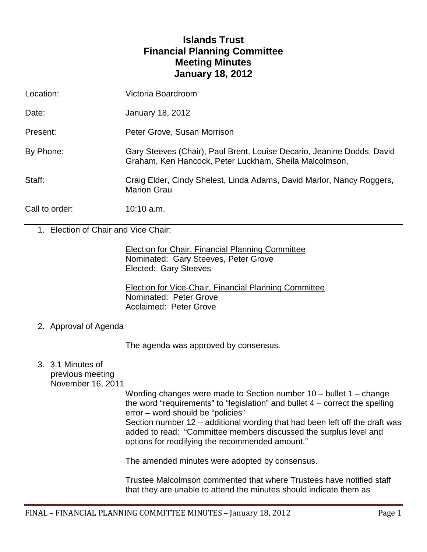# **Islands Trust Financial Planning Committee Meeting Minutes January 18, 2012**

| Location:      | Victoria Boardroom                                                                                                               |
|----------------|----------------------------------------------------------------------------------------------------------------------------------|
| Date:          | January 18, 2012                                                                                                                 |
| Present:       | Peter Grove, Susan Morrison                                                                                                      |
| By Phone:      | Gary Steeves (Chair), Paul Brent, Louise Decario, Jeanine Dodds, David<br>Graham, Ken Hancock, Peter Luckham, Sheila Malcolmson, |
| Staff:         | Craig Elder, Cindy Shelest, Linda Adams, David Marlor, Nancy Roggers,<br><b>Marion Grau</b>                                      |
| Call to order: | $10:10$ a.m.                                                                                                                     |

1. Election of Chair and Vice Chair:

Election for Chair, Financial Planning Committee Nominated: Gary Steeves, Peter Grove Elected: Gary Steeves

Election for Vice-Chair, Financial Planning Committee Nominated: Peter Grove Acclaimed: Peter Grove

2. Approval of Agenda

The agenda was approved by consensus.

3. 3.1 Minutes of previous meeting

November 16, 2011

Wording changes were made to Section number 10 – bullet 1 – change the word "requirements" to "legislation" and bullet  $4$  – correct the spelling error – word should be "policies"

Section number 12 – additional wording that had been left off the draft was added to read: "Committee members discussed the surplus level and options for modifying the recommended amount."

The amended minutes were adopted by consensus.

Trustee Malcolmson commented that where Trustees have notified staff that they are unable to attend the minutes should indicate them as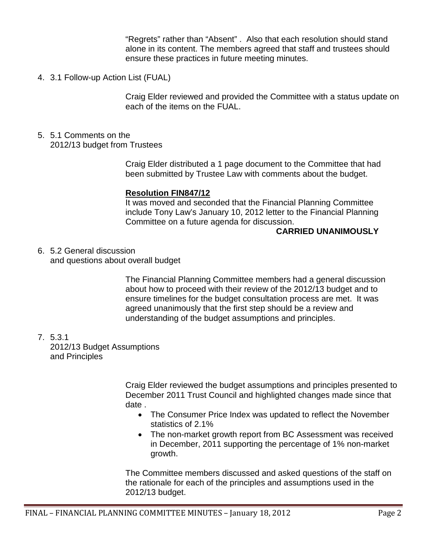"Regrets" rather than "Absent" . Also that each resolution should stand alone in its content. The members agreed that staff and trustees should ensure these practices in future meeting minutes.

4. 3.1 Follow-up Action List (FUAL)

Craig Elder reviewed and provided the Committee with a status update on each of the items on the FUAL.

### 5. 5.1 Comments on the 2012/13 budget from Trustees

Craig Elder distributed a 1 page document to the Committee that had been submitted by Trustee Law with comments about the budget.

#### **Resolution FIN847/12**

It was moved and seconded that the Financial Planning Committee include Tony Law's January 10, 2012 letter to the Financial Planning Committee on a future agenda for discussion.

#### **CARRIED UNANIMOUSLY**

6. 5.2 General discussion and questions about overall budget

> The Financial Planning Committee members had a general discussion about how to proceed with their review of the 2012/13 budget and to ensure timelines for the budget consultation process are met. It was agreed unanimously that the first step should be a review and understanding of the budget assumptions and principles.

7. 5.3.1

2012/13 Budget Assumptions and Principles

> Craig Elder reviewed the budget assumptions and principles presented to December 2011 Trust Council and highlighted changes made since that date .

- The Consumer Price Index was updated to reflect the November statistics of 2.1%
- The non-market growth report from BC Assessment was received in December, 2011 supporting the percentage of 1% non-market growth.

The Committee members discussed and asked questions of the staff on the rationale for each of the principles and assumptions used in the 2012/13 budget.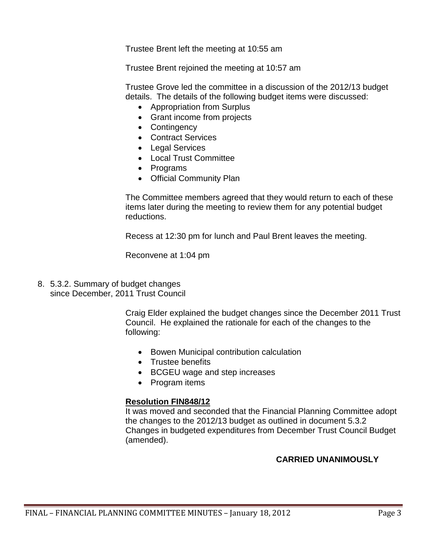Trustee Brent left the meeting at 10:55 am

Trustee Brent rejoined the meeting at 10:57 am

Trustee Grove led the committee in a discussion of the 2012/13 budget details. The details of the following budget items were discussed:

- Appropriation from Surplus
- Grant income from projects
- Contingency
- Contract Services
- Legal Services
- Local Trust Committee
- Programs
- Official Community Plan

The Committee members agreed that they would return to each of these items later during the meeting to review them for any potential budget reductions.

Recess at 12:30 pm for lunch and Paul Brent leaves the meeting.

Reconvene at 1:04 pm

8. 5.3.2. Summary of budget changes since December, 2011 Trust Council

> Craig Elder explained the budget changes since the December 2011 Trust Council. He explained the rationale for each of the changes to the following:

- Bowen Municipal contribution calculation
- Trustee benefits
- BCGEU wage and step increases
- Program items

## **Resolution FIN848/12**

It was moved and seconded that the Financial Planning Committee adopt the changes to the 2012/13 budget as outlined in document 5.3.2 Changes in budgeted expenditures from December Trust Council Budget (amended).

## **CARRIED UNANIMOUSLY**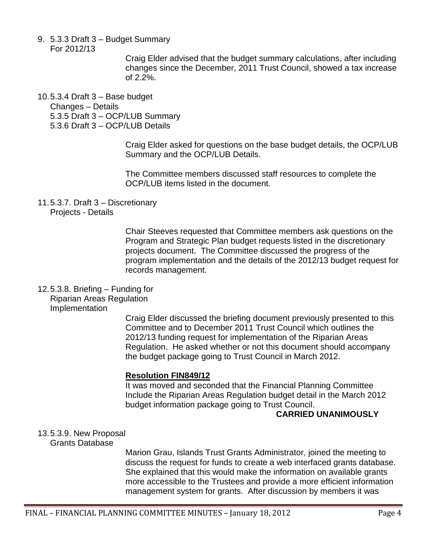- 9. 5.3.3 Draft 3 Budget Summary
	- For 2012/13

Craig Elder advised that the budget summary calculations, after including changes since the December, 2011 Trust Council, showed a tax increase of 2.2%.

10.5.3.4 Draft 3 – Base budget

Changes – Details

- 5.3.5 Draft 3 OCP/LUB Summary
- 5.3.6 Draft 3 OCP/LUB Details

Craig Elder asked for questions on the base budget details, the OCP/LUB Summary and the OCP/LUB Details.

The Committee members discussed staff resources to complete the OCP/LUB items listed in the document.

11.5.3.7. Draft 3 – Discretionary

Projects - Details

Chair Steeves requested that Committee members ask questions on the Program and Strategic Plan budget requests listed in the discretionary projects document. The Committee discussed the progress of the program implementation and the details of the 2012/13 budget request for records management.

## 12.5.3.8. Briefing – Funding for

Riparian Areas Regulation Implementation

Craig Elder discussed the briefing document previously presented to this Committee and to December 2011 Trust Council which outlines the 2012/13 funding request for implementation of the Riparian Areas Regulation. He asked whether or not this document should accompany the budget package going to Trust Council in March 2012.

## **Resolution FIN849/12**

It was moved and seconded that the Financial Planning Committee Include the Riparian Areas Regulation budget detail in the March 2012 budget information package going to Trust Council.

## **CARRIED UNANIMOUSLY**

13.5.3.9. New Proposal

Grants Database

Marion Grau, Islands Trust Grants Administrator, joined the meeting to discuss the request for funds to create a web interfaced grants database. She explained that this would make the information on available grants more accessible to the Trustees and provide a more efficient information management system for grants. After discussion by members it was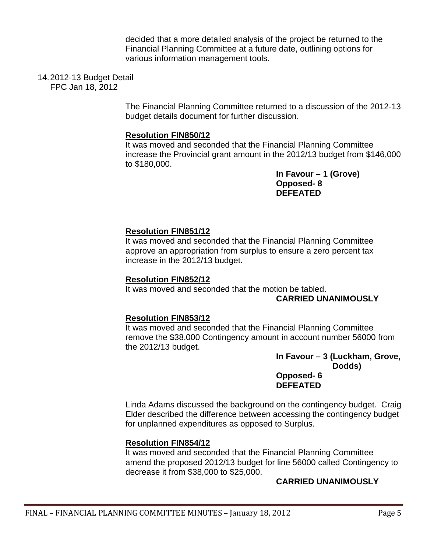decided that a more detailed analysis of the project be returned to the Financial Planning Committee at a future date, outlining options for various information management tools.

## 14.2012-13 Budget Detail

FPC Jan 18, 2012

The Financial Planning Committee returned to a discussion of the 2012-13 budget details document for further discussion.

#### **Resolution FIN850/12**

It was moved and seconded that the Financial Planning Committee increase the Provincial grant amount in the 2012/13 budget from \$146,000 to \$180,000.

**In Favour – 1 (Grove) Opposed- 8 DEFEATED**

## **Resolution FIN851/12**

It was moved and seconded that the Financial Planning Committee approve an appropriation from surplus to ensure a zero percent tax increase in the 2012/13 budget.

#### **Resolution FIN852/12**

It was moved and seconded that the motion be tabled. **CARRIED UNANIMOUSLY**

#### **Resolution FIN853/12**

It was moved and seconded that the Financial Planning Committee remove the \$38,000 Contingency amount in account number 56000 from the 2012/13 budget.

> **In Favour – 3 (Luckham, Grove, Dodds) Opposed- 6 DEFEATED**

Linda Adams discussed the background on the contingency budget. Craig Elder described the difference between accessing the contingency budget for unplanned expenditures as opposed to Surplus.

#### **Resolution FIN854/12**

It was moved and seconded that the Financial Planning Committee amend the proposed 2012/13 budget for line 56000 called Contingency to decrease it from \$38,000 to \$25,000.

#### **CARRIED UNANIMOUSLY**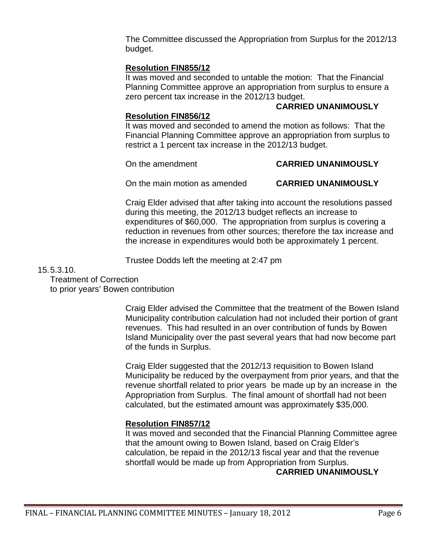The Committee discussed the Appropriation from Surplus for the 2012/13 budget.

## **Resolution FIN855/12**

It was moved and seconded to untable the motion: That the Financial Planning Committee approve an appropriation from surplus to ensure a zero percent tax increase in the 2012/13 budget.

#### **CARRIED UNANIMOUSLY**

#### **Resolution FIN856/12**

It was moved and seconded to amend the motion as follows: That the Financial Planning Committee approve an appropriation from surplus to restrict a 1 percent tax increase in the 2012/13 budget.

#### On the amendment **CARRIED UNANIMOUSLY**

On the main motion as amended **CARRIED UNANIMOUSLY**

Craig Elder advised that after taking into account the resolutions passed during this meeting, the 2012/13 budget reflects an increase to expenditures of \$60,000. The appropriation from surplus is covering a reduction in revenues from other sources; therefore the tax increase and the increase in expenditures would both be approximately 1 percent.

Trustee Dodds left the meeting at 2:47 pm

#### 15.5.3.10.

Treatment of Correction

to prior years' Bowen contribution

Craig Elder advised the Committee that the treatment of the Bowen Island Municipality contribution calculation had not included their portion of grant revenues. This had resulted in an over contribution of funds by Bowen Island Municipality over the past several years that had now become part of the funds in Surplus.

Craig Elder suggested that the 2012/13 requisition to Bowen Island Municipality be reduced by the overpayment from prior years, and that the revenue shortfall related to prior years be made up by an increase in the Appropriation from Surplus. The final amount of shortfall had not been calculated, but the estimated amount was approximately \$35,000.

## **Resolution FIN857/12**

It was moved and seconded that the Financial Planning Committee agree that the amount owing to Bowen Island, based on Craig Elder's calculation, be repaid in the 2012/13 fiscal year and that the revenue shortfall would be made up from Appropriation from Surplus. **CARRIED UNANIMOUSLY**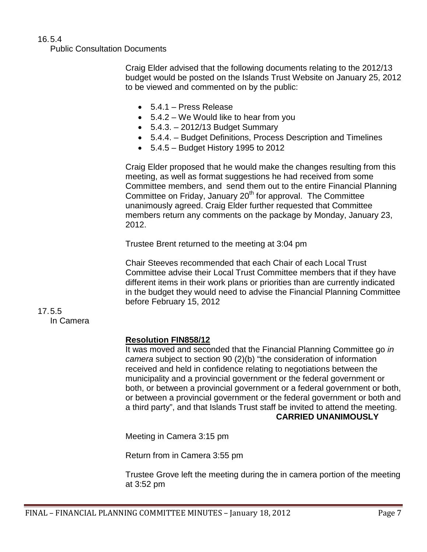## 16.5.4

Public Consultation Documents

Craig Elder advised that the following documents relating to the 2012/13 budget would be posted on the Islands Trust Website on January 25, 2012 to be viewed and commented on by the public:

- 5.4.1 Press Release
- 5.4.2 We Would like to hear from you
- $\bullet$  5.4.3. 2012/13 Budget Summary
- 5.4.4. Budget Definitions, Process Description and Timelines
- 5.4.5 Budget History 1995 to 2012

Craig Elder proposed that he would make the changes resulting from this meeting, as well as format suggestions he had received from some Committee members, and send them out to the entire Financial Planning Committee on Friday, January 20<sup>th</sup> for approval. The Committee unanimously agreed. Craig Elder further requested that Committee members return any comments on the package by Monday, January 23, 2012.

Trustee Brent returned to the meeting at 3:04 pm

Chair Steeves recommended that each Chair of each Local Trust Committee advise their Local Trust Committee members that if they have different items in their work plans or priorities than are currently indicated in the budget they would need to advise the Financial Planning Committee before February 15, 2012

#### 17.5.5 In Camera

#### **Resolution FIN858/12**

It was moved and seconded that the Financial Planning Committee go *in camera* subject to section 90 (2)(b) "the consideration of information received and held in confidence relating to negotiations between the municipality and a provincial government or the federal government or both, or between a provincial government or a federal government or both, or between a provincial government or the federal government or both and a third party", and that Islands Trust staff be invited to attend the meeting. **CARRIED UNANIMOUSLY**

Meeting in Camera 3:15 pm

Return from in Camera 3:55 pm

Trustee Grove left the meeting during the in camera portion of the meeting at 3:52 pm